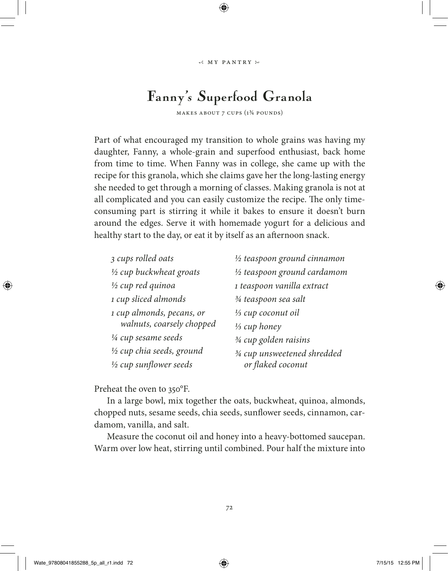## Fanny's Superfood Granola

makes about 7 cups (1¾ pounds)

Part of what encouraged my transition to whole grains was having my daughter, Fanny, a whole-grain and superfood enthusiast, back home from time to time. When Fanny was in college, she came up with the recipe for this granola, which she claims gave her the long-lasting energy she needed to get through a morning of classes. Making granola is not at all complicated and you can easily customize the recipe. The only timeconsuming part is stirring it while it bakes to ensure it doesn't burn around the edges. Serve it with homemade yogurt for a delicious and healthy start to the day, or eat it by itself as an afternoon snack.

| 3 cups rolled oats           | 1/2 teaspoon ground cinnamon    |
|------------------------------|---------------------------------|
| 1/2 cup buckwheat groats     | 1/2 teaspoon ground cardamom    |
| $\frac{1}{2}$ cup red quinoa | 1 teaspoon vanilla extract      |
| 1 cup sliced almonds         | 3/4 teaspoon sea salt           |
| 1 cup almonds, pecans, or    | 1/ <sub>3</sub> cup coconut oil |
| walnuts, coarsely chopped    | 1/ <sub>3</sub> cup honey       |
| 1/4 cup sesame seeds         | 3/4 cup golden raisins          |
| 1/2 cup chia seeds, ground   | 3/4 cup unsweetened shredded    |
| 1/2 cup sunflower seeds      | or flaked coconut               |

Preheat the oven to 350°F.

In a large bowl, mix together the oats, buckwheat, quinoa, almonds, chopped nuts, sesame seeds, chia seeds, sunflower seeds, cinnamon, cardamom, vanilla, and salt.

Measure the coconut oil and honey into a heavy-bottomed saucepan. Warm over low heat, stirring until combined. Pour half the mixture into